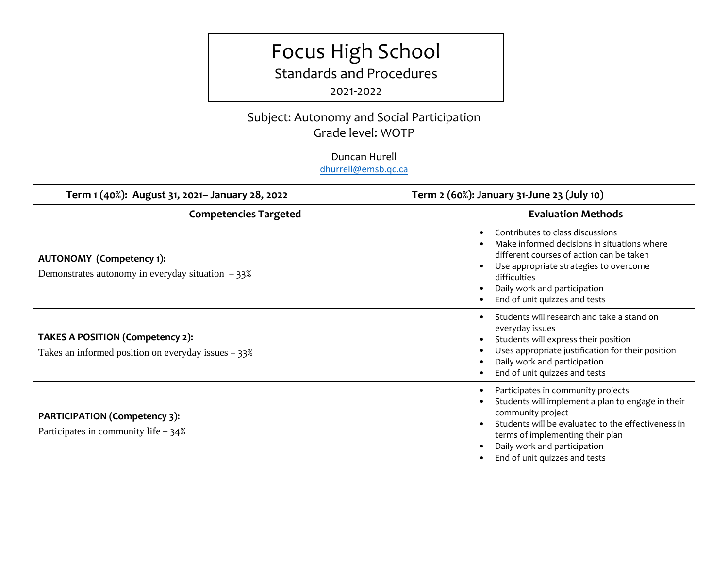# Focus High School

Standards and Procedures

2021-2022

## Subject: Autonomy and Social Participation Grade level: WOTP

Duncan Hurell [dhurrell@emsb.qc.ca](mailto:dhurrell@emsb.qc.ca)

| Term 1 (40%): August 31, 2021- January 28, 2022                                           | Term 2 (60%): January 31-June 23 (July 10)                                                                                                                                                                                                                                           |
|-------------------------------------------------------------------------------------------|--------------------------------------------------------------------------------------------------------------------------------------------------------------------------------------------------------------------------------------------------------------------------------------|
| <b>Competencies Targeted</b>                                                              | <b>Evaluation Methods</b>                                                                                                                                                                                                                                                            |
| <b>AUTONOMY</b> (Competency 1):<br>Demonstrates autonomy in everyday situation $-33\%$    | Contributes to class discussions<br>Make informed decisions in situations where<br>different courses of action can be taken<br>Use appropriate strategies to overcome<br>$\bullet$<br>difficulties<br>Daily work and participation<br>$\bullet$<br>End of unit quizzes and tests     |
| TAKES A POSITION (Competency 2):<br>Takes an informed position on everyday issues $-33\%$ | Students will research and take a stand on<br>everyday issues<br>Students will express their position<br>Uses appropriate justification for their position<br>Daily work and participation<br>End of unit quizzes and tests                                                          |
| <b>PARTICIPATION (Competency 3):</b><br>Participates in community life - 34%              | Participates in community projects<br>$\bullet$<br>Students will implement a plan to engage in their<br>community project<br>Students will be evaluated to the effectiveness in<br>terms of implementing their plan<br>Daily work and participation<br>End of unit quizzes and tests |